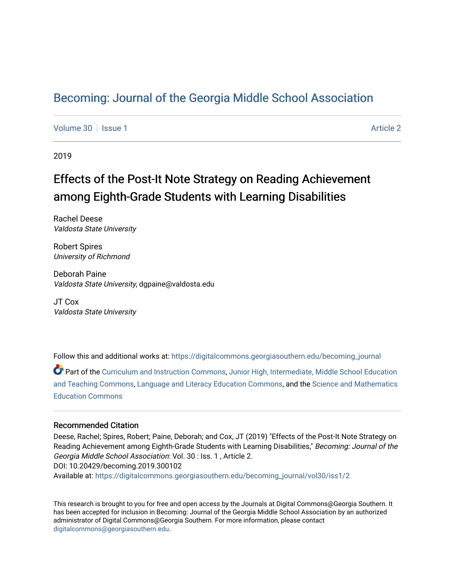# [Becoming: Journal of the Georgia Middle School Association](https://digitalcommons.georgiasouthern.edu/becoming_journal)

[Volume 30](https://digitalcommons.georgiasouthern.edu/becoming_journal/vol30) | [Issue 1](https://digitalcommons.georgiasouthern.edu/becoming_journal/vol30/iss1) [Article 2](https://digitalcommons.georgiasouthern.edu/becoming_journal/vol30/iss1/2) | Article 2 | Article 2 | Article 2 | Article 2 | Article 2 | Article 2 | Article 2

2019

# Effects of the Post-It Note Strategy on Reading Achievement among Eighth-Grade Students with Learning Disabilities

Rachel Deese Valdosta State University

Robert Spires University of Richmond

Deborah Paine Valdosta State University, dgpaine@valdosta.edu

JT Cox Valdosta State University

Follow this and additional works at: [https://digitalcommons.georgiasouthern.edu/becoming\\_journal](https://digitalcommons.georgiasouthern.edu/becoming_journal?utm_source=digitalcommons.georgiasouthern.edu%2Fbecoming_journal%2Fvol30%2Fiss1%2F2&utm_medium=PDF&utm_campaign=PDFCoverPages) 

Part of the [Curriculum and Instruction Commons,](http://network.bepress.com/hgg/discipline/786?utm_source=digitalcommons.georgiasouthern.edu%2Fbecoming_journal%2Fvol30%2Fiss1%2F2&utm_medium=PDF&utm_campaign=PDFCoverPages) [Junior High, Intermediate, Middle School Education](http://network.bepress.com/hgg/discipline/807?utm_source=digitalcommons.georgiasouthern.edu%2Fbecoming_journal%2Fvol30%2Fiss1%2F2&utm_medium=PDF&utm_campaign=PDFCoverPages)  [and Teaching Commons](http://network.bepress.com/hgg/discipline/807?utm_source=digitalcommons.georgiasouthern.edu%2Fbecoming_journal%2Fvol30%2Fiss1%2F2&utm_medium=PDF&utm_campaign=PDFCoverPages), [Language and Literacy Education Commons](http://network.bepress.com/hgg/discipline/1380?utm_source=digitalcommons.georgiasouthern.edu%2Fbecoming_journal%2Fvol30%2Fiss1%2F2&utm_medium=PDF&utm_campaign=PDFCoverPages), and the [Science and Mathematics](http://network.bepress.com/hgg/discipline/800?utm_source=digitalcommons.georgiasouthern.edu%2Fbecoming_journal%2Fvol30%2Fiss1%2F2&utm_medium=PDF&utm_campaign=PDFCoverPages) [Education Commons](http://network.bepress.com/hgg/discipline/800?utm_source=digitalcommons.georgiasouthern.edu%2Fbecoming_journal%2Fvol30%2Fiss1%2F2&utm_medium=PDF&utm_campaign=PDFCoverPages) 

#### Recommended Citation

Deese, Rachel; Spires, Robert; Paine, Deborah; and Cox, JT (2019) "Effects of the Post-It Note Strategy on Reading Achievement among Eighth-Grade Students with Learning Disabilities," Becoming: Journal of the Georgia Middle School Association: Vol. 30 : Iss. 1 , Article 2. DOI: 10.20429/becoming.2019.300102 Available at: [https://digitalcommons.georgiasouthern.edu/becoming\\_journal/vol30/iss1/2](https://digitalcommons.georgiasouthern.edu/becoming_journal/vol30/iss1/2?utm_source=digitalcommons.georgiasouthern.edu%2Fbecoming_journal%2Fvol30%2Fiss1%2F2&utm_medium=PDF&utm_campaign=PDFCoverPages) 

This research is brought to you for free and open access by the Journals at Digital Commons@Georgia Southern. It has been accepted for inclusion in Becoming: Journal of the Georgia Middle School Association by an authorized administrator of Digital Commons@Georgia Southern. For more information, please contact [digitalcommons@georgiasouthern.edu.](mailto:digitalcommons@georgiasouthern.edu)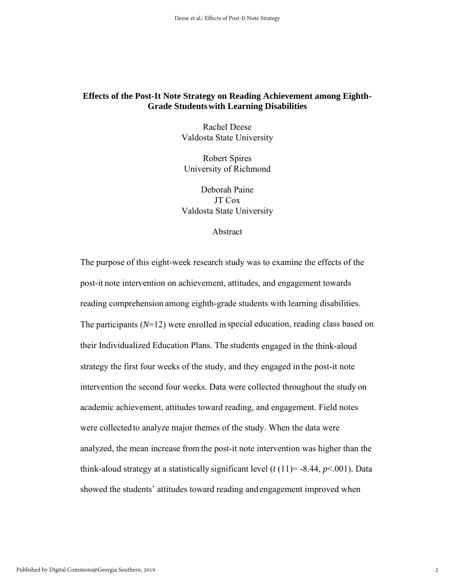## **Effects of the Post-It Note Strategy on Reading Achievement among Eighth-Grade Studentswith Learning Disabilities**

Rachel Deese Valdosta State University

Robert Spires University of Richmond

Deborah Paine JT Cox Valdosta State University

#### Abstract

The purpose of this eight-week research study was to examine the effects of the post-it note intervention on achievement, attitudes, and engagement towards reading comprehension among eighth-grade students with learning disabilities. The participants (*N*=12) were enrolled in special education, reading class based on their Individualized Education Plans. The students engaged in the think-aloud strategy the first four weeks of the study, and they engaged in the post-it note intervention the second four weeks. Data were collected throughout the study on academic achievement, attitudes toward reading, and engagement. Field notes were collectedto analyze major themes of the study. When the data were analyzed, the mean increase fromthe post-it note intervention was higher than the think-aloud strategy at a statistically significant level  $(t(11)= -8.44, p<.001)$ . Data showed the students' attitudes toward reading and engagement improved when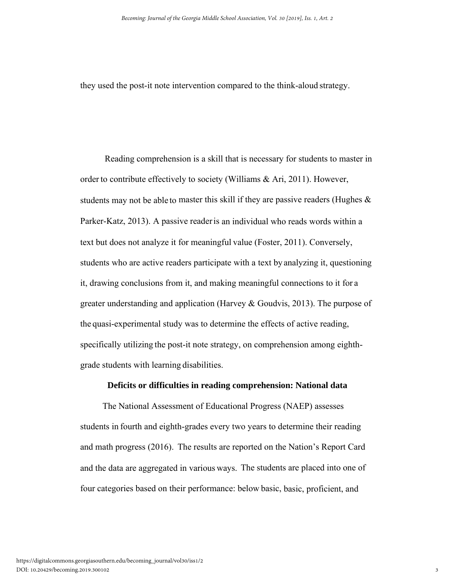they used the post-it note intervention compared to the think-aloud strategy.

 Reading comprehension is a skill that is necessary for students to master in order to contribute effectively to society (Williams & Ari, 2011). However, students may not be able to master this skill if they are passive readers (Hughes  $\&$ Parker-Katz, 2013). A passive readeris an individual who reads words within a text but does not analyze it for meaningful value (Foster, 2011). Conversely, students who are active readers participate with a text by analyzing it, questioning it, drawing conclusions from it, and making meaningful connections to it for a greater understanding and application (Harvey & Goudvis, 2013). The purpose of the quasi-experimental study was to determine the effects of active reading, specifically utilizing the post-it note strategy, on comprehension among eighthgrade students with learning disabilities.

## **Deficits or difficulties in reading comprehension: National data**

 The National Assessment of Educational Progress (NAEP) assesses students in fourth and eighth-grades every two years to determine their reading and math progress (2016). The results are reported on the Nation's Report Card and the data are aggregated in various ways. The students are placed into one of four categories based on their performance: below basic, basic, proficient, and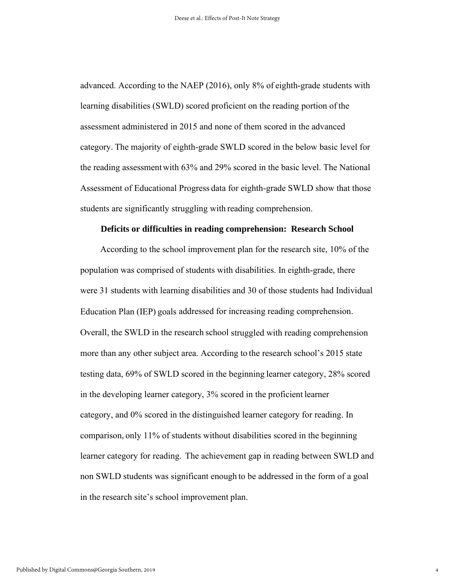advanced. According to the NAEP (2016), only 8% of eighth-grade students with learning disabilities (SWLD) scored proficient on the reading portion of the assessment administered in 2015 and none of them scored in the advanced category. The majority of eighth-grade SWLD scored in the below basic level for the reading assessmentwith 63% and 29% scored in the basic level. The National Assessment of Educational Progress data for eighth-grade SWLD show that those students are significantly struggling with reading comprehension.

#### **Deficits or difficulties in reading comprehension: Research School**

 According to the school improvement plan for the research site, 10% of the population was comprised of students with disabilities. In eighth-grade, there were 31 students with learning disabilities and 30 of those students had Individual Education Plan (IEP) goals addressed for increasing reading comprehension. Overall, the SWLD in the research school struggled with reading comprehension more than any other subject area. According to the research school's 2015 state testing data, 69% of SWLD scored in the beginning learner category, 28% scored in the developing learner category, 3% scored in the proficient learner category, and 0% scored in the distinguished learner category for reading. In comparison, only 11% of students without disabilities scored in the beginning learner category for reading. The achievement gap in reading between SWLD and non SWLD students was significant enough to be addressed in the form of a goal in the research site's school improvement plan.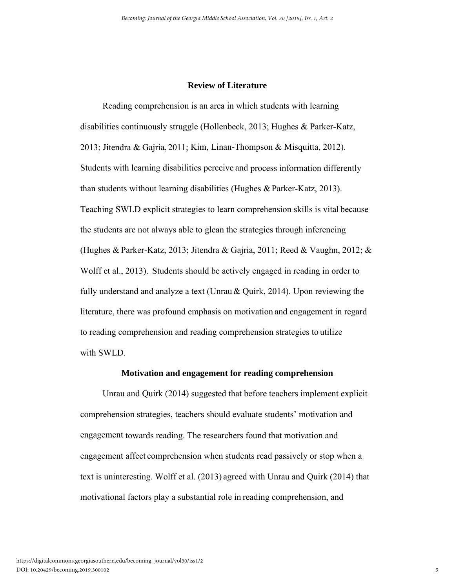# **Review of Literature**

Reading comprehension is an area in which students with learning disabilities continuously struggle (Hollenbeck, 2013; Hughes & Parker-Katz, 2013; Jitendra & Gajria, 2011; Kim, Linan-Thompson & Misquitta, 2012). Students with learning disabilities perceive and process information differently than students without learning disabilities (Hughes & Parker-Katz, 2013). Teaching SWLD explicit strategies to learn comprehension skills is vital because the students are not always able to glean the strategies through inferencing (Hughes & Parker-Katz, 2013; Jitendra & Gajria, 2011; Reed & Vaughn, 2012; & Wolff et al., 2013). Students should be actively engaged in reading in order to fully understand and analyze a text (Unrau& Quirk, 2014). Upon reviewing the literature, there was profound emphasis on motivation and engagement in regard to reading comprehension and reading comprehension strategies to utilize with SWLD.

## **Motivation and engagement for reading comprehension**

 Unrau and Quirk (2014) suggested that before teachers implement explicit comprehension strategies, teachers should evaluate students' motivation and engagement towards reading. The researchers found that motivation and engagement affect comprehension when students read passively or stop when a text is uninteresting. Wolff et al. (2013) agreed with Unrau and Quirk (2014) that motivational factors play a substantial role in reading comprehension, and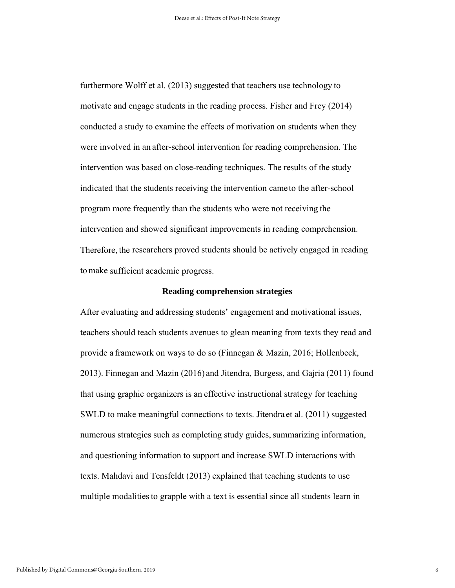furthermore Wolff et al. (2013) suggested that teachers use technology to motivate and engage students in the reading process. Fisher and Frey (2014) conducted a study to examine the effects of motivation on students when they were involved in an after-school intervention for reading comprehension. The intervention was based on close-reading techniques. The results of the study indicated that the students receiving the intervention came to the after-school program more frequently than the students who were not receiving the intervention and showed significant improvements in reading comprehension. Therefore, the researchers proved students should be actively engaged in reading tomake sufficient academic progress.

#### **Reading comprehension strategies**

After evaluating and addressing students' engagement and motivational issues, teachers should teach students avenues to glean meaning from texts they read and provide a framework on ways to do so (Finnegan & Mazin, 2016; Hollenbeck, 2013). Finnegan and Mazin (2016) and Jitendra, Burgess, and Gajria (2011) found that using graphic organizers is an effective instructional strategy for teaching SWLD to make meaningful connections to texts. Jitendra et al. (2011) suggested numerous strategies such as completing study guides, summarizing information, and questioning information to support and increase SWLD interactions with texts. Mahdavi and Tensfeldt (2013) explained that teaching students to use multiple modalities to grapple with a text is essential since all students learn in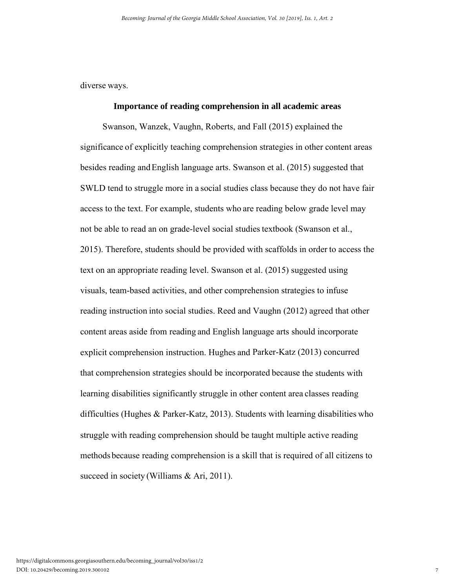diverse ways.

### **Importance of reading comprehension in all academic areas**

 Swanson, Wanzek, Vaughn, Roberts, and Fall (2015) explained the significance of explicitly teaching comprehension strategies in other content areas besides reading andEnglish language arts. Swanson et al. (2015) suggested that SWLD tend to struggle more in a social studies class because they do not have fair access to the text. For example, students who are reading below grade level may not be able to read an on grade-level social studies textbook (Swanson et al., 2015). Therefore, students should be provided with scaffolds in order to access the text on an appropriate reading level. Swanson et al. (2015) suggested using visuals, team-based activities, and other comprehension strategies to infuse reading instruction into social studies. Reed and Vaughn (2012) agreed that other content areas aside from reading and English language arts should incorporate explicit comprehension instruction. Hughes and Parker-Katz (2013) concurred that comprehension strategies should be incorporated because the students with learning disabilities significantly struggle in other content area classes reading difficulties (Hughes & Parker-Katz, 2013). Students with learning disabilities who struggle with reading comprehension should be taught multiple active reading methods because reading comprehension is a skill that is required of all citizens to succeed in society (Williams & Ari, 2011).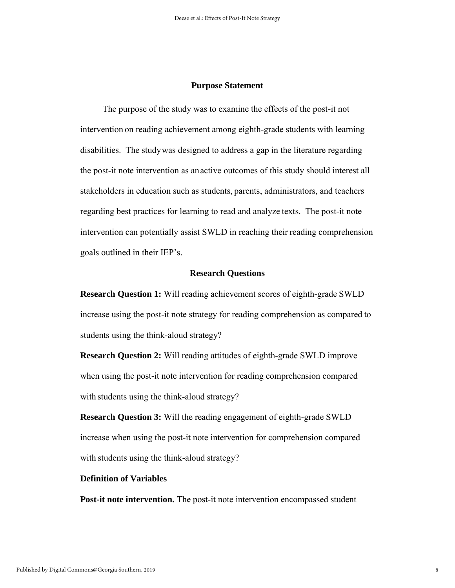#### **Purpose Statement**

 The purpose of the study was to examine the effects of the post-it not intervention on reading achievement among eighth-grade students with learning disabilities. The studywas designed to address a gap in the literature regarding the post-it note intervention as anactive outcomes of this study should interest all stakeholders in education such as students, parents, administrators, and teachers regarding best practices for learning to read and analyze texts. The post-it note intervention can potentially assist SWLD in reaching their reading comprehension goals outlined in their IEP's.

#### **Research Questions**

**Research Question 1:** Will reading achievement scores of eighth-grade SWLD increase using the post-it note strategy for reading comprehension as compared to students using the think-aloud strategy?

**Research Question 2:** Will reading attitudes of eighth-grade SWLD improve when using the post-it note intervention for reading comprehension compared with students using the think-aloud strategy?

**Research Question 3:** Will the reading engagement of eighth-grade SWLD increase when using the post-it note intervention for comprehension compared with students using the think-aloud strategy?

#### **Definition of Variables**

**Post-it note intervention.** The post-it note intervention encompassed student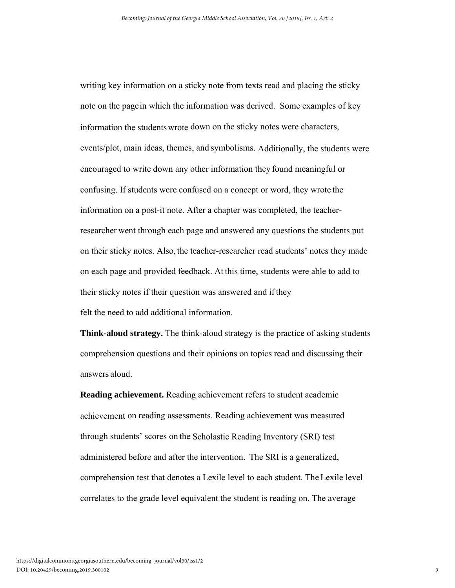writing key information on a sticky note from texts read and placing the sticky note on the pagein which the information was derived. Some examples of key information the studentswrote down on the sticky notes were characters, events/plot, main ideas, themes, and symbolisms. Additionally, the students were encouraged to write down any other information they found meaningful or confusing. If students were confused on a concept or word, they wrote the information on a post-it note. After a chapter was completed, the teacherresearcher went through each page and answered any questions the students put on their sticky notes. Also, the teacher-researcher read students' notes they made on each page and provided feedback. At this time, students were able to add to their sticky notes if their question was answered and ifthey

felt the need to add additional information.

**Think-aloud strategy.** The think-aloud strategy is the practice of asking students comprehension questions and their opinions on topics read and discussing their answers aloud.

**Reading achievement.** Reading achievement refers to student academic achievement on reading assessments. Reading achievement was measured through students' scores on the Scholastic Reading Inventory (SRI) test administered before and after the intervention. The SRI is a generalized, comprehension test that denotes a Lexile level to each student. The Lexile level correlates to the grade level equivalent the student is reading on. The average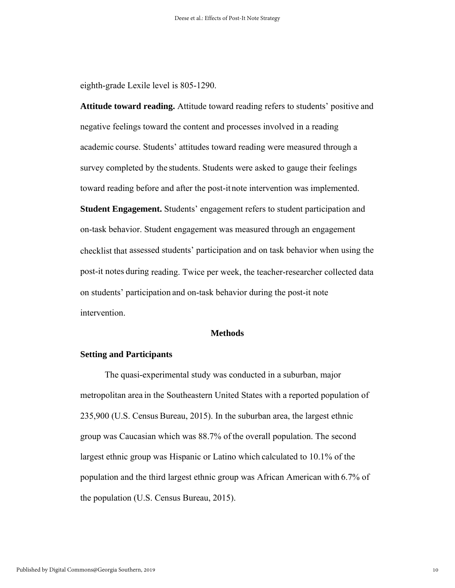eighth-grade Lexile level is 805-1290.

**Attitude toward reading.** Attitude toward reading refers to students' positive and negative feelings toward the content and processes involved in a reading academic course. Students' attitudes toward reading were measured through a survey completed by the students. Students were asked to gauge their feelings toward reading before and after the post-itnote intervention was implemented. **Student Engagement.** Students' engagement refers to student participation and on-task behavior. Student engagement was measured through an engagement checklist that assessed students' participation and on task behavior when using the post-it notes during reading. Twice per week, the teacher-researcher collected data on students' participation and on-task behavior during the post-it note intervention.

#### **Methods**

## **Setting and Participants**

 The quasi-experimental study was conducted in a suburban, major metropolitan area in the Southeastern United States with a reported population of 235,900 (U.S. Census Bureau, 2015). In the suburban area, the largest ethnic group was Caucasian which was 88.7% of the overall population. The second largest ethnic group was Hispanic or Latino which calculated to 10.1% of the population and the third largest ethnic group was African American with 6.7% of the population (U.S. Census Bureau, 2015).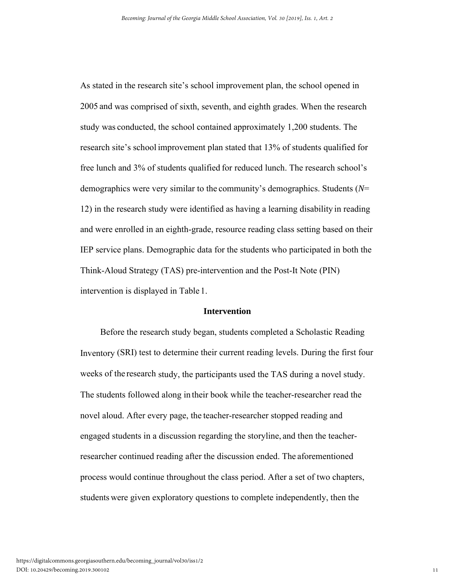As stated in the research site's school improvement plan, the school opened in 2005 and was comprised of sixth, seventh, and eighth grades. When the research study was conducted, the school contained approximately 1,200 students. The research site's school improvement plan stated that 13% of students qualified for free lunch and 3% of students qualified for reduced lunch. The research school's demographics were very similar to the community's demographics. Students (*N*= 12) in the research study were identified as having a learning disability in reading and were enrolled in an eighth-grade, resource reading class setting based on their IEP service plans. Demographic data for the students who participated in both the Think-Aloud Strategy (TAS) pre-intervention and the Post-It Note (PIN) intervention is displayed in Table 1.

### **Intervention**

 Before the research study began, students completed a Scholastic Reading Inventory (SRI) test to determine their current reading levels. During the first four weeks of the research study, the participants used the TAS during a novel study. The students followed along in their book while the teacher-researcher read the novel aloud. After every page, the teacher-researcher stopped reading and engaged students in a discussion regarding the storyline, and then the teacherresearcher continued reading after the discussion ended. The aforementioned process would continue throughout the class period. After a set of two chapters, students were given exploratory questions to complete independently, then the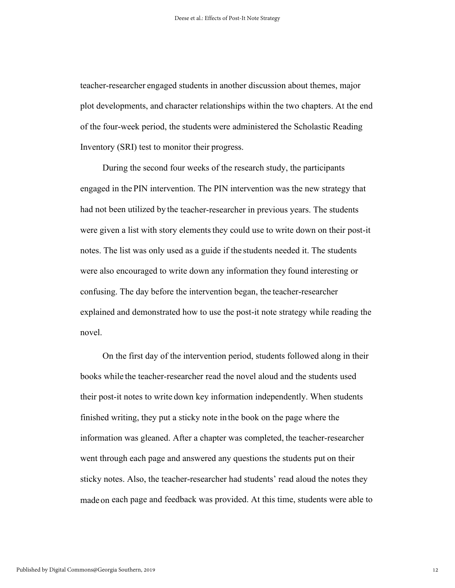teacher-researcher engaged students in another discussion about themes, major plot developments, and character relationships within the two chapters. At the end of the four-week period, the students were administered the Scholastic Reading Inventory (SRI) test to monitor their progress.

 During the second four weeks of the research study, the participants engaged in the PIN intervention. The PIN intervention was the new strategy that had not been utilized by the teacher-researcher in previous years. The students were given a list with story elements they could use to write down on their post-it notes. The list was only used as a guide if the students needed it. The students were also encouraged to write down any information they found interesting or confusing. The day before the intervention began, the teacher-researcher explained and demonstrated how to use the post-it note strategy while reading the novel.

 On the first day of the intervention period, students followed along in their books while the teacher-researcher read the novel aloud and the students used their post-it notes to write down key information independently. When students finished writing, they put a sticky note in the book on the page where the information was gleaned. After a chapter was completed, the teacher-researcher went through each page and answered any questions the students put on their sticky notes. Also, the teacher-researcher had students' read aloud the notes they madeon each page and feedback was provided. At this time, students were able to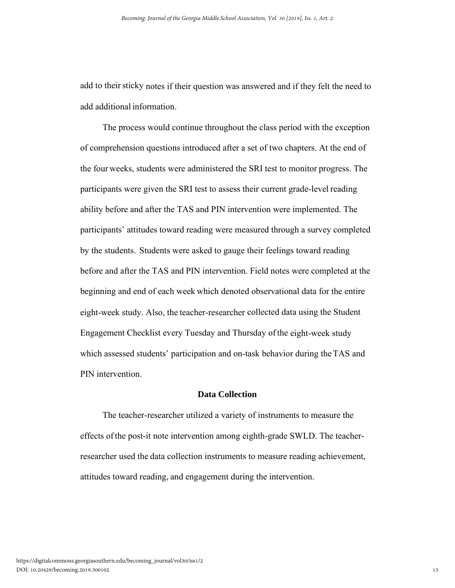add to their sticky notes if their question was answered and if they felt the need to add additional information.

 The process would continue throughout the class period with the exception of comprehension questions introduced after a set of two chapters. At the end of the four weeks, students were administered the SRI test to monitor progress. The participants were given the SRI test to assess their current grade-level reading ability before and after the TAS and PIN intervention were implemented. The participants' attitudes toward reading were measured through a survey completed by the students. Students were asked to gauge their feelings toward reading before and after the TAS and PIN intervention. Field notes were completed at the beginning and end of each week which denoted observational data for the entire eight-week study. Also, the teacher-researcher collected data using the Student Engagement Checklist every Tuesday and Thursday ofthe eight-week study which assessed students' participation and on-task behavior during the TAS and PIN intervention.

#### **Data Collection**

 The teacher-researcher utilized a variety of instruments to measure the effects ofthe post-it note intervention among eighth-grade SWLD. The teacherresearcher used the data collection instruments to measure reading achievement, attitudes toward reading, and engagement during the intervention.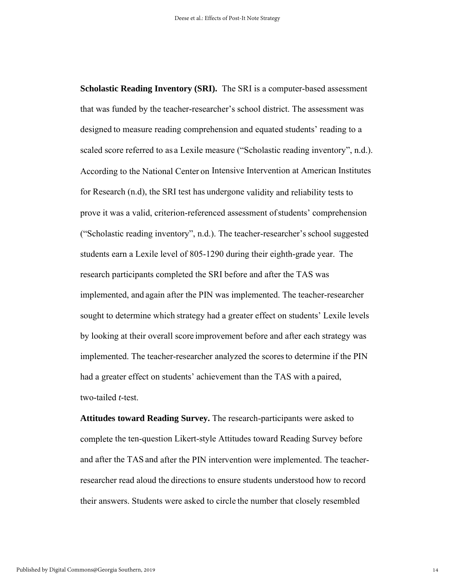**Scholastic Reading Inventory (SRI).** The SRI is a computer-based assessment that was funded by the teacher-researcher's school district. The assessment was designed to measure reading comprehension and equated students' reading to a scaled score referred to as a Lexile measure ("Scholastic reading inventory", n.d.). According to the National Center on Intensive Intervention at American Institutes for Research (n.d), the SRI test has undergone validity and reliability tests to prove it was a valid, criterion-referenced assessment ofstudents' comprehension ("Scholastic reading inventory", n.d.). The teacher-researcher'sschool suggested students earn a Lexile level of 805-1290 during their eighth-grade year. The research participants completed the SRI before and after the TAS was implemented, and again after the PIN was implemented. The teacher-researcher sought to determine which strategy had a greater effect on students' Lexile levels by looking at their overall score improvement before and after each strategy was implemented. The teacher-researcher analyzed the scoresto determine if the PIN had a greater effect on students' achievement than the TAS with a paired, two-tailed *t*-test.

**Attitudes toward Reading Survey.** The research-participants were asked to complete the ten-question Likert-style Attitudes toward Reading Survey before and after the TAS and after the PIN intervention were implemented. The teacherresearcher read aloud the directions to ensure students understood how to record their answers. Students were asked to circle the number that closely resembled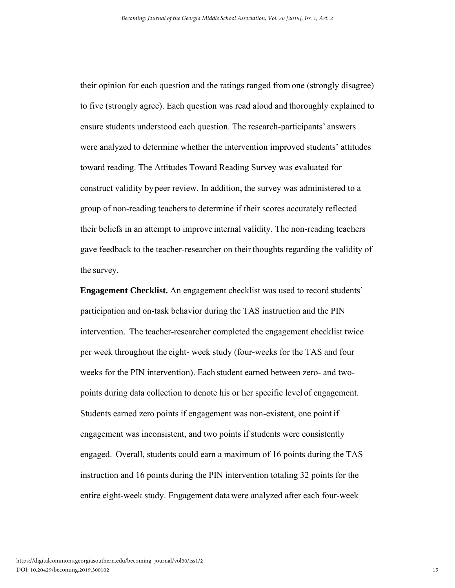their opinion for each question and the ratings ranged from one (strongly disagree) to five (strongly agree). Each question was read aloud and thoroughly explained to ensure students understood each question. The research-participants' answers were analyzed to determine whether the intervention improved students' attitudes toward reading. The Attitudes Toward Reading Survey was evaluated for construct validity by peer review. In addition, the survey was administered to a group of non-reading teachers to determine if their scores accurately reflected their beliefs in an attempt to improve internal validity. The non-reading teachers gave feedback to the teacher-researcher on their thoughts regarding the validity of the survey.

**Engagement Checklist.** An engagement checklist was used to record students' participation and on-task behavior during the TAS instruction and the PIN intervention. The teacher-researcher completed the engagement checklist twice per week throughout the eight- week study (four-weeks for the TAS and four weeks for the PIN intervention). Each student earned between zero- and twopoints during data collection to denote his or her specific level of engagement. Students earned zero points if engagement was non-existent, one point if engagement was inconsistent, and two points if students were consistently engaged. Overall, students could earn a maximum of 16 points during the TAS instruction and 16 points during the PIN intervention totaling 32 points for the entire eight-week study. Engagement datawere analyzed after each four-week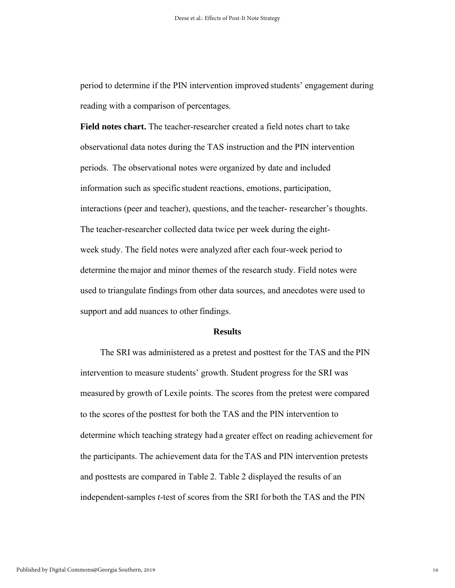period to determine if the PIN intervention improved students' engagement during reading with a comparison of percentages.

**Field notes chart.** The teacher-researcher created a field notes chart to take observational data notes during the TAS instruction and the PIN intervention periods. The observational notes were organized by date and included information such as specific student reactions, emotions, participation, interactions (peer and teacher), questions, and the teacher- researcher's thoughts. The teacher-researcher collected data twice per week during the eightweek study. The field notes were analyzed after each four-week period to determine themajor and minor themes of the research study. Field notes were used to triangulate findings from other data sources, and anecdotes were used to support and add nuances to other findings.

#### **Results**

 The SRI was administered as a pretest and posttest for the TAS and the PIN intervention to measure students' growth. Student progress for the SRI was measured by growth of Lexile points. The scores from the pretest were compared to the scores of the posttest for both the TAS and the PIN intervention to determine which teaching strategy had a greater effect on reading achievement for the participants. The achievement data for theTAS and PIN intervention pretests and posttests are compared in Table 2. Table 2 displayed the results of an independent-samples *t*-test of scores from the SRI for both the TAS and the PIN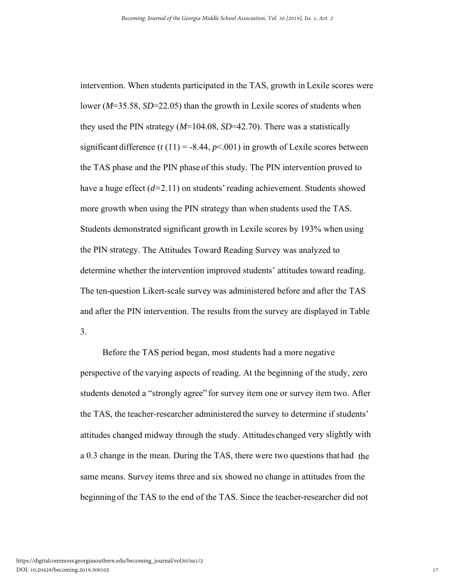intervention. When students participated in the TAS, growth in Lexile scores were lower (*M*=35.58, *SD*=22.05) than the growth in Lexile scores of students when they used the PIN strategy (*M*=104.08, *SD*=42.70). There was a statistically significant difference  $(t(11) = -8.44, p < 0.001)$  in growth of Lexile scores between the TAS phase and the PIN phase of this study. The PIN intervention proved to have a huge effect (*d=*2.11) on students' reading achievement. Students showed more growth when using the PIN strategy than when students used the TAS. Students demonstrated significant growth in Lexile scores by 193% when using the PIN strategy. The Attitudes Toward Reading Survey was analyzed to determine whether the intervention improved students' attitudes toward reading. The ten-question Likert-scale survey was administered before and after the TAS and after the PIN intervention. The results from the survey are displayed in Table 3.

 Before the TAS period began, most students had a more negative perspective of the varying aspects of reading. At the beginning of the study, zero students denoted a "strongly agree" for survey item one or survey item two. After the TAS, the teacher-researcher administered the survey to determine if students' attitudes changed midway through the study. Attitudes changed very slightly with a 0.3 change in the mean. During the TAS, there were two questions that had the same means. Survey items three and six showed no change in attitudes from the beginningof the TAS to the end of the TAS. Since the teacher-researcher did not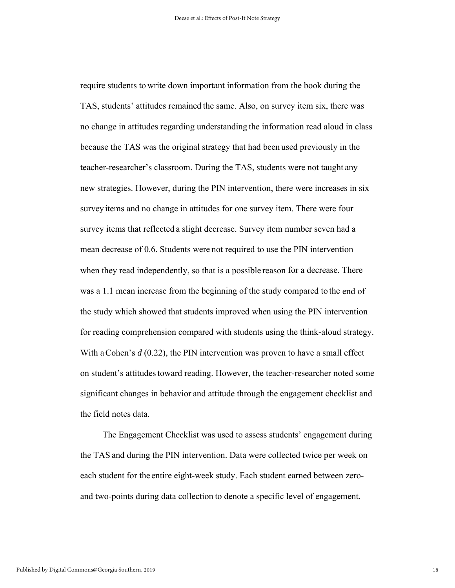require students to write down important information from the book during the TAS, students' attitudes remained the same. Also, on survey item six, there was no change in attitudes regarding understanding the information read aloud in class because the TAS was the original strategy that had been used previously in the teacher-researcher's classroom. During the TAS, students were not taught any new strategies. However, during the PIN intervention, there were increases in six survey items and no change in attitudes for one survey item. There were four survey items that reflected a slight decrease. Survey item number seven had a mean decrease of 0.6. Students were not required to use the PIN intervention when they read independently, so that is a possible reason for a decrease. There was a 1.1 mean increase from the beginning of the study compared to the end of the study which showed that students improved when using the PIN intervention for reading comprehension compared with students using the think-aloud strategy. With a Cohen's *d* (0.22), the PIN intervention was proven to have a small effect on student's attitudes toward reading. However, the teacher-researcher noted some significant changes in behavior and attitude through the engagement checklist and the field notes data.

 The Engagement Checklist was used to assess students' engagement during the TAS and during the PIN intervention. Data were collected twice per week on each student for the entire eight-week study. Each student earned between zeroand two-points during data collection to denote a specific level of engagement.

18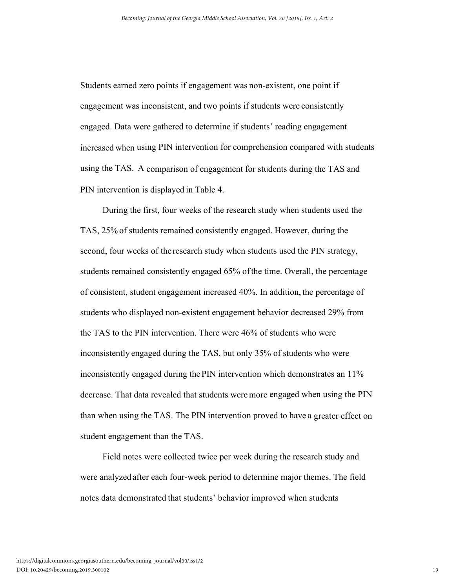Students earned zero points if engagement was non-existent, one point if engagement was inconsistent, and two points if students were consistently engaged. Data were gathered to determine if students' reading engagement increased when using PIN intervention for comprehension compared with students using the TAS. A comparison of engagement for students during the TAS and PIN intervention is displayed in Table 4.

 During the first, four weeks of the research study when students used the TAS, 25% of students remained consistently engaged. However, during the second, four weeks of the research study when students used the PIN strategy, students remained consistently engaged 65% ofthe time. Overall, the percentage of consistent, student engagement increased 40%. In addition, the percentage of students who displayed non-existent engagement behavior decreased 29% from the TAS to the PIN intervention. There were 46% of students who were inconsistently engaged during the TAS, but only 35% of students who were inconsistently engaged during the PIN intervention which demonstrates an 11% decrease. That data revealed that students weremore engaged when using the PIN than when using the TAS. The PIN intervention proved to have a greater effect on student engagement than the TAS.

 Field notes were collected twice per week during the research study and were analyzed after each four-week period to determine major themes. The field notes data demonstrated that students' behavior improved when students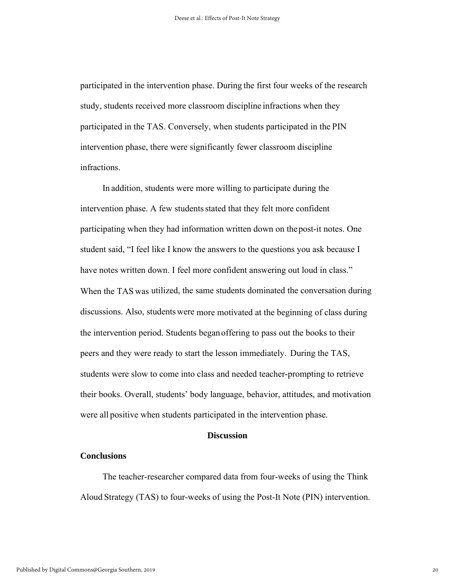participated in the intervention phase. During the first four weeks of the research study, students received more classroom discipline infractions when they participated in the TAS. Conversely, when students participated in the PIN intervention phase, there were significantly fewer classroom discipline infractions.

 In addition, students were more willing to participate during the intervention phase. A few students stated that they felt more confident participating when they had information written down on thepost-it notes. One student said, "I feel like I know the answers to the questions you ask because I have notes written down. I feel more confident answering out loud in class." When the TAS was utilized, the same students dominated the conversation during discussions. Also, students were more motivated at the beginning of class during the intervention period. Students beganoffering to pass out the books to their peers and they were ready to start the lesson immediately. During the TAS, students were slow to come into class and needed teacher-prompting to retrieve their books. Overall, students' body language, behavior, attitudes, and motivation were all positive when students participated in the intervention phase.

#### **Discussion**

#### **Conclusions**

 The teacher-researcher compared data from four-weeks of using the Think Aloud Strategy (TAS) to four-weeks of using the Post-It Note (PIN) intervention.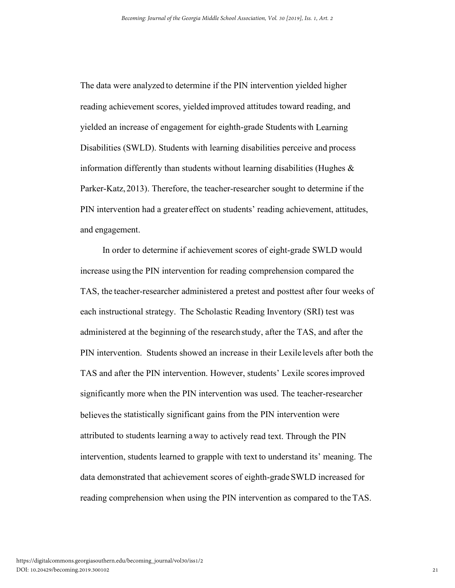The data were analyzed to determine if the PIN intervention yielded higher reading achievement scores, yielded improved attitudes toward reading, and yielded an increase of engagement for eighth-grade Students with Learning Disabilities (SWLD). Students with learning disabilities perceive and process information differently than students without learning disabilities (Hughes  $\&$ Parker-Katz,2013). Therefore, the teacher-researcher sought to determine if the PIN intervention had a greater effect on students' reading achievement, attitudes, and engagement.

 In order to determine if achievement scores of eight-grade SWLD would increase using the PIN intervention for reading comprehension compared the TAS, the teacher-researcher administered a pretest and posttest after four weeks of each instructional strategy. The Scholastic Reading Inventory (SRI) test was administered at the beginning of the researchstudy, after the TAS, and after the PIN intervention. Students showed an increase in their Lexile levels after both the TAS and after the PIN intervention. However, students' Lexile scoresimproved significantly more when the PIN intervention was used. The teacher-researcher believes the statistically significant gains from the PIN intervention were attributed to students learning away to actively read text. Through the PIN intervention, students learned to grapple with text to understand its' meaning. The data demonstrated that achievement scores of eighth-grade SWLD increased for reading comprehension when using the PIN intervention as compared to the TAS.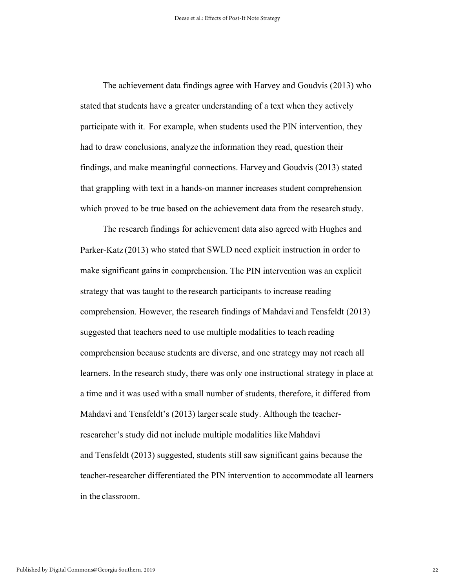The achievement data findings agree with Harvey and Goudvis (2013) who stated that students have a greater understanding of a text when they actively participate with it. For example, when students used the PIN intervention, they had to draw conclusions, analyze the information they read, question their findings, and make meaningful connections. Harvey and Goudvis (2013) stated that grappling with text in a hands-on manner increasesstudent comprehension which proved to be true based on the achievement data from the research study.

 The research findings for achievement data also agreed with Hughes and Parker-Katz (2013) who stated that SWLD need explicit instruction in order to make significant gains in comprehension. The PIN intervention was an explicit strategy that was taught to the research participants to increase reading comprehension. However, the research findings of Mahdavi and Tensfeldt (2013) suggested that teachers need to use multiple modalities to teach reading comprehension because students are diverse, and one strategy may not reach all learners. In the research study, there was only one instructional strategy in place at a time and it was used with a small number of students, therefore, it differed from Mahdavi and Tensfeldt's (2013) largerscale study. Although the teacherresearcher's study did not include multiple modalities like Mahdavi and Tensfeldt (2013) suggested, students still saw significant gains because the teacher-researcher differentiated the PIN intervention to accommodate all learners in the classroom.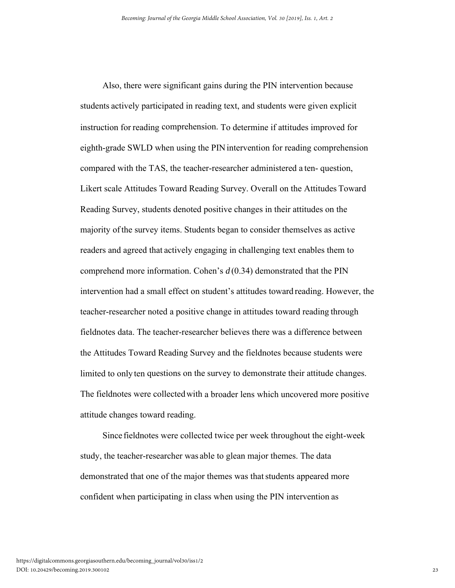Also, there were significant gains during the PIN intervention because students actively participated in reading text, and students were given explicit instruction for reading comprehension. To determine if attitudes improved for eighth-grade SWLD when using the PIN intervention for reading comprehension compared with the TAS, the teacher-researcher administered a ten- question, Likert scale Attitudes Toward Reading Survey. Overall on the Attitudes Toward Reading Survey, students denoted positive changes in their attitudes on the majority ofthe survey items. Students began to consider themselves as active readers and agreed that actively engaging in challenging text enables them to comprehend more information. Cohen's *d* (0.34) demonstrated that the PIN intervention had a small effect on student's attitudes toward reading. However, the teacher-researcher noted a positive change in attitudes toward reading through fieldnotes data. The teacher-researcher believes there was a difference between the Attitudes Toward Reading Survey and the fieldnotes because students were limited to only ten questions on the survey to demonstrate their attitude changes. The fieldnotes were collectedwith a broader lens which uncovered more positive attitude changes toward reading.

 Since fieldnotes were collected twice per week throughout the eight-week study, the teacher-researcher was able to glean major themes. The data demonstrated that one of the major themes was that students appeared more confident when participating in class when using the PIN intervention as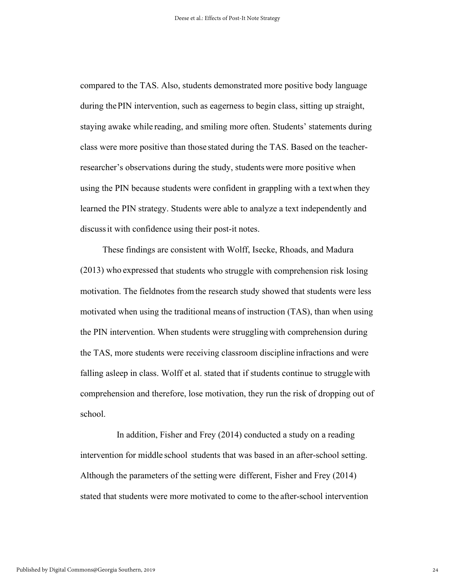compared to the TAS. Also, students demonstrated more positive body language during thePIN intervention, such as eagerness to begin class, sitting up straight, staying awake while reading, and smiling more often. Students' statements during class were more positive than those stated during the TAS. Based on the teacherresearcher's observations during the study, studentswere more positive when using the PIN because students were confident in grappling with a textwhen they learned the PIN strategy. Students were able to analyze a text independently and discussit with confidence using their post-it notes.

 These findings are consistent with Wolff, Isecke, Rhoads, and Madura (2013) who expressed that students who struggle with comprehension risk losing motivation. The fieldnotes fromthe research study showed that students were less motivated when using the traditional means of instruction (TAS), than when using the PIN intervention. When students were struggling with comprehension during the TAS, more students were receiving classroom discipline infractions and were falling asleep in class. Wolff et al. stated that if students continue to struggle with comprehension and therefore, lose motivation, they run the risk of dropping out of school.

 In addition, Fisher and Frey (2014) conducted a study on a reading intervention for middle school students that was based in an after-school setting. Although the parameters of the setting were different, Fisher and Frey (2014) stated that students were more motivated to come to the after-school intervention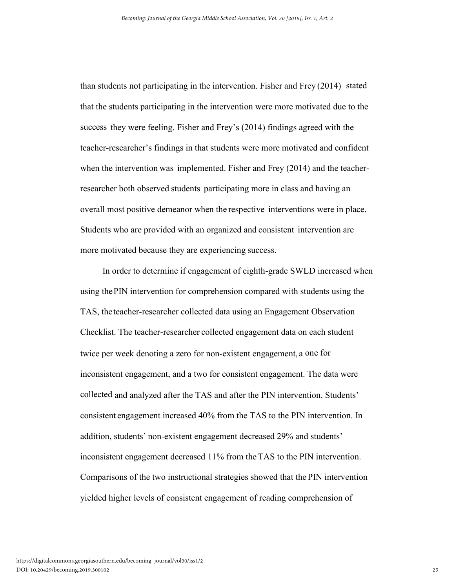than students not participating in the intervention. Fisher and Frey (2014) stated that the students participating in the intervention were more motivated due to the success they were feeling. Fisher and Frey's (2014) findings agreed with the teacher-researcher's findings in that students were more motivated and confident when the intervention was implemented. Fisher and Frey (2014) and the teacherresearcher both observed students participating more in class and having an overall most positive demeanor when the respective interventions were in place. Students who are provided with an organized and consistent intervention are more motivated because they are experiencing success.

 In order to determine if engagement of eighth-grade SWLD increased when using thePIN intervention for comprehension compared with students using the TAS, theteacher-researcher collected data using an Engagement Observation Checklist. The teacher-researcher collected engagement data on each student twice per week denoting a zero for non-existent engagement, a one for inconsistent engagement, and a two for consistent engagement. The data were collected and analyzed after the TAS and after the PIN intervention. Students' consistent engagement increased 40% from the TAS to the PIN intervention. In addition, students' non-existent engagement decreased 29% and students' inconsistent engagement decreased 11% from the TAS to the PIN intervention. Comparisons of the two instructional strategies showed that the PIN intervention yielded higher levels of consistent engagement of reading comprehension of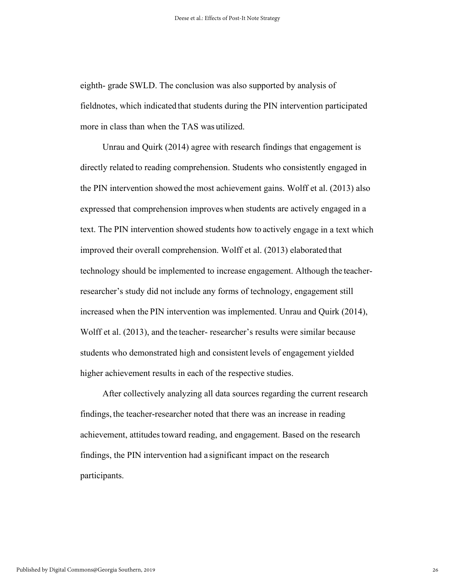eighth- grade SWLD. The conclusion was also supported by analysis of fieldnotes, which indicated that students during the PIN intervention participated more in class than when the TAS was utilized.

 Unrau and Quirk (2014) agree with research findings that engagement is directly related to reading comprehension. Students who consistently engaged in the PIN intervention showed the most achievement gains. Wolff et al. (2013) also expressed that comprehension improves when students are actively engaged in a text. The PIN intervention showed students how to actively engage in a text which improved their overall comprehension. Wolff et al. (2013) elaborated that technology should be implemented to increase engagement. Although the teacherresearcher's study did not include any forms of technology, engagement still increased when the PIN intervention was implemented. Unrau and Quirk (2014), Wolff et al. (2013), and the teacher- researcher's results were similar because students who demonstrated high and consistent levels of engagement yielded higher achievement results in each of the respective studies.

 After collectively analyzing all data sources regarding the current research findings, the teacher-researcher noted that there was an increase in reading achievement, attitudes toward reading, and engagement. Based on the research findings, the PIN intervention had a significant impact on the research participants.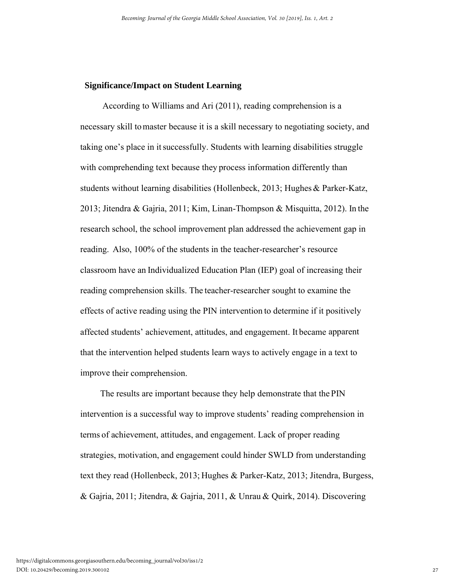### **Significance/Impact on Student Learning**

 According to Williams and Ari (2011), reading comprehension is a necessary skill tomaster because it is a skill necessary to negotiating society, and taking one's place in itsuccessfully. Students with learning disabilities struggle with comprehending text because they process information differently than students without learning disabilities (Hollenbeck, 2013; Hughes& Parker-Katz, 2013; Jitendra & Gajria, 2011; Kim, Linan-Thompson & Misquitta, 2012). In the research school, the school improvement plan addressed the achievement gap in reading. Also, 100% of the students in the teacher-researcher's resource classroom have an Individualized Education Plan (IEP) goal of increasing their reading comprehension skills. The teacher-researcher sought to examine the effects of active reading using the PIN intervention to determine if it positively affected students' achievement, attitudes, and engagement. It became apparent that the intervention helped students learn ways to actively engage in a text to improve their comprehension.

 The results are important because they help demonstrate that the PIN intervention is a successful way to improve students' reading comprehension in terms of achievement, attitudes, and engagement. Lack of proper reading strategies, motivation, and engagement could hinder SWLD from understanding text they read (Hollenbeck, 2013; Hughes & Parker-Katz, 2013; Jitendra, Burgess, & Gajria, 2011; Jitendra, & Gajria, 2011, & Unrau & Quirk, 2014). Discovering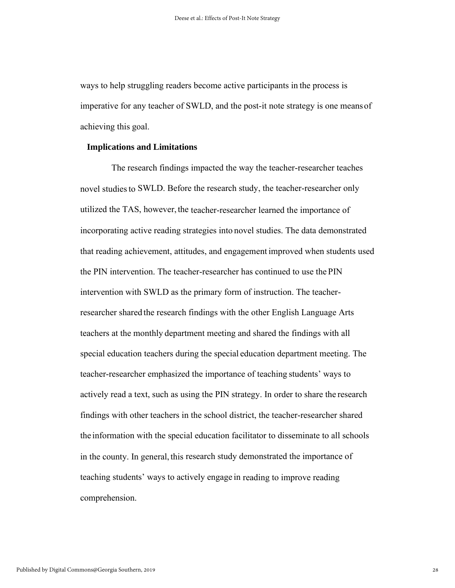ways to help struggling readers become active participants in the process is imperative for any teacher of SWLD, and the post-it note strategy is one meansof achieving this goal.

## **Implications and Limitations**

 The research findings impacted the way the teacher-researcher teaches novel studies to SWLD. Before the research study, the teacher-researcher only utilized the TAS, however, the teacher-researcher learned the importance of incorporating active reading strategies into novel studies. The data demonstrated that reading achievement, attitudes, and engagement improved when students used the PIN intervention. The teacher-researcher has continued to use the PIN intervention with SWLD as the primary form of instruction. The teacherresearcher shared the research findings with the other English Language Arts teachers at the monthly department meeting and shared the findings with all special education teachers during the special education department meeting. The teacher-researcher emphasized the importance of teaching students' ways to actively read a text, such as using the PIN strategy. In order to share the research findings with other teachers in the school district, the teacher-researcher shared the information with the special education facilitator to disseminate to all schools in the county. In general, this research study demonstrated the importance of teaching students' ways to actively engage in reading to improve reading comprehension.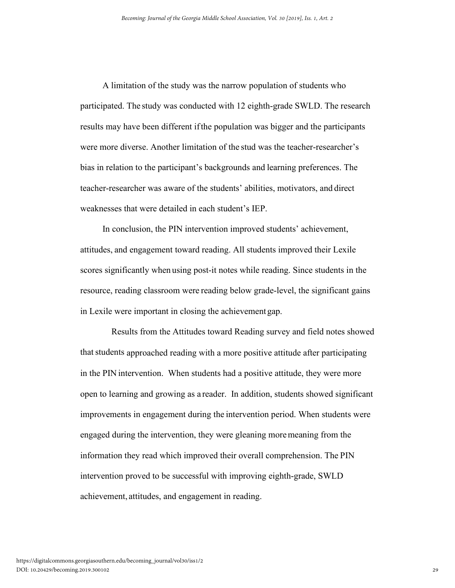A limitation of the study was the narrow population of students who participated. The study was conducted with 12 eighth-grade SWLD. The research results may have been different ifthe population was bigger and the participants were more diverse. Another limitation of the stud was the teacher-researcher's bias in relation to the participant's backgrounds and learning preferences. The teacher-researcher was aware of the students' abilities, motivators, and direct weaknesses that were detailed in each student's IEP.

 In conclusion, the PIN intervention improved students' achievement, attitudes, and engagement toward reading. All students improved their Lexile scores significantly when using post-it notes while reading. Since students in the resource, reading classroom were reading below grade-level, the significant gains in Lexile were important in closing the achievementgap.

 Results from the Attitudes toward Reading survey and field notes showed thatstudents approached reading with a more positive attitude after participating in the PIN intervention. When students had a positive attitude, they were more open to learning and growing as a reader. In addition, students showed significant improvements in engagement during the intervention period. When students were engaged during the intervention, they were gleaning moremeaning from the information they read which improved their overall comprehension. The PIN intervention proved to be successful with improving eighth-grade, SWLD achievement, attitudes, and engagement in reading.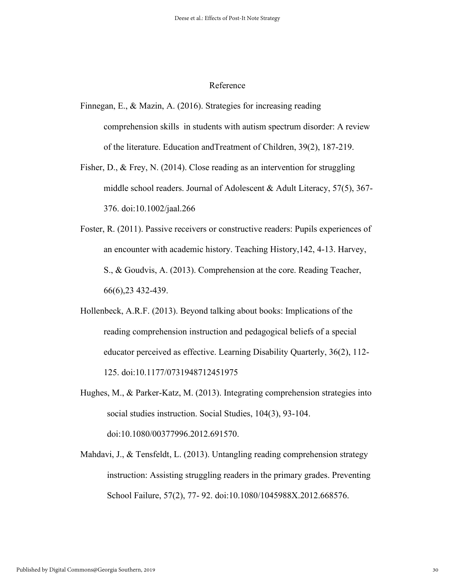## Reference

- Finnegan, E., & Mazin, A. (2016). Strategies for increasing reading comprehension skills in students with autism spectrum disorder: A review of the literature. Education andTreatment of Children, 39(2), 187-219.
- Fisher, D., & Frey, N. (2014). Close reading as an intervention for struggling middle school readers. Journal of Adolescent & Adult Literacy, 57(5), 367- 376. doi:10.1002/jaal.266
- Foster, R. (2011). Passive receivers or constructive readers: Pupils experiences of an encounter with academic history. Teaching History,142, 4-13. Harvey, S., & Goudvis, A. (2013). Comprehension at the core. Reading Teacher, 66(6),23 432-439.
- Hollenbeck, A.R.F. (2013). Beyond talking about books: Implications of the reading comprehension instruction and pedagogical beliefs of a special educator perceived as effective. Learning Disability Quarterly, 36(2), 112- 125. doi:10.1177/0731948712451975
- Hughes, M., & Parker-Katz, M. (2013). Integrating comprehension strategies into social studies instruction. Social Studies, 104(3), 93-104. doi:10.1080/00377996.2012.691570.
- Mahdavi, J., & Tensfeldt, L. (2013). Untangling reading comprehension strategy instruction: Assisting struggling readers in the primary grades. Preventing School Failure, 57(2), 77- 92. doi:10.1080/1045988X.2012.668576.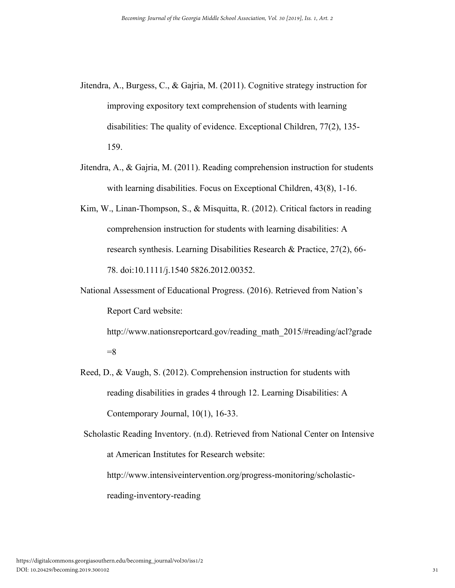- Jitendra, A., Burgess, C., & Gajria, M. (2011). Cognitive strategy instruction for improving expository text comprehension of students with learning disabilities: The quality of evidence. Exceptional Children, 77(2), 135- 159.
- Jitendra, A., & Gajria, M. (2011). Reading comprehension instruction for students with learning disabilities. Focus on Exceptional Children, 43(8), 1-16.
- Kim, W., Linan-Thompson, S., & Misquitta, R. (2012). Critical factors in reading comprehension instruction for students with learning disabilities: A research synthesis. Learning Disabilities Research & Practice, 27(2), 66- 78. doi:10.1111/j.1540 5826.2012.00352.
- National Assessment of Educational Progress. (2016). Retrieved from Nation's Report Card website:

http://www.nationsreportcard.gov/reading\_math\_2015/#reading/acl?grade  $=8$ 

Reed, D., & Vaugh, S. (2012). Comprehension instruction for students with reading disabilities in grades 4 through 12. Learning Disabilities: A Contemporary Journal, 10(1), 16-33.

Scholastic Reading Inventory. (n.d). Retrieved from National Center on Intensive at American Institutes for Research website: http://www.intensiveintervention.org/progress-monitoring/scholastic-

reading-inventory-reading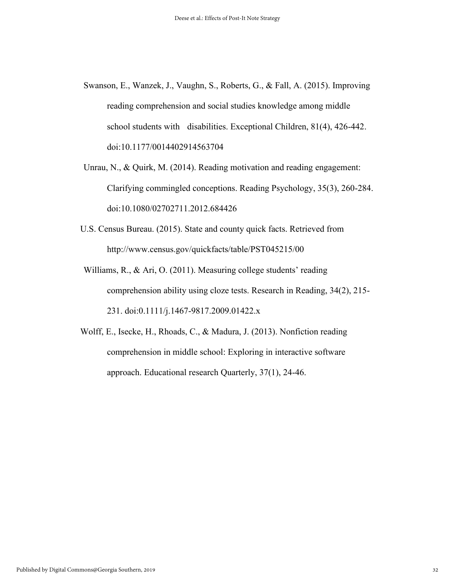- Swanson, E., Wanzek, J., Vaughn, S., Roberts, G., & Fall, A. (2015). Improving reading comprehension and social studies knowledge among middle school students with disabilities. Exceptional Children, 81(4), 426-442. doi:10.1177/0014402914563704
- Unrau, N., & Quirk, M. (2014). Reading motivation and reading engagement: Clarifying commingled conceptions. Reading Psychology, 35(3), 260-284. doi:10.1080/02702711.2012.684426
- U.S. Census Bureau. (2015). State and county quick facts. Retrieved from http://www.census.gov/quickfacts/table/PST045215/00
- Williams, R., & Ari, O. (2011). Measuring college students' reading comprehension ability using cloze tests. Research in Reading, 34(2), 215- 231. doi:0.1111/j.1467-9817.2009.01422.x
- Wolff, E., Isecke, H., Rhoads, C., & Madura, J. (2013). Nonfiction reading comprehension in middle school: Exploring in interactive software approach. Educational research Quarterly, 37(1), 24-46.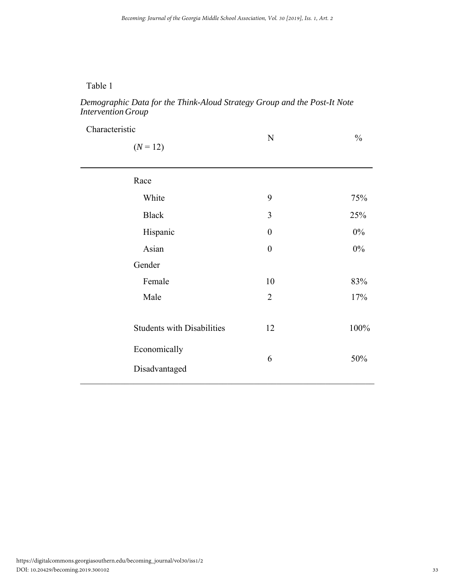# Table 1

# *Demographic Data for the Think-Aloud Strategy Group and the Post-It Note Intervention Group*

| Characteristic                    |                  |               |
|-----------------------------------|------------------|---------------|
| $(N = 12)$                        | ${\bf N}$        | $\frac{0}{0}$ |
| Race                              |                  |               |
| White                             | 9                | 75%           |
| <b>Black</b>                      | 3                | 25%           |
| Hispanic                          | $\boldsymbol{0}$ | $0\%$         |
| Asian                             | $\boldsymbol{0}$ | $0\%$         |
| Gender                            |                  |               |
| Female                            | 10               | 83%           |
| Male                              | $\overline{2}$   | 17%           |
| <b>Students with Disabilities</b> | 12               | 100%          |
| Economically<br>Disadvantaged     | 6                | 50%           |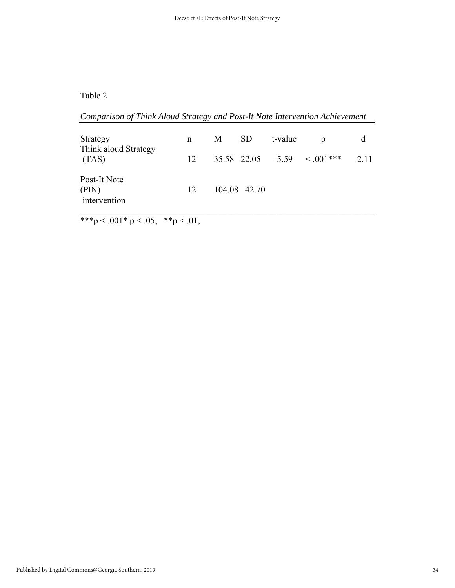# Table 2

| Comparison of Think Aloud Strategy and Post-It Note Intervention Achievement |    |   |              |         |                              |       |
|------------------------------------------------------------------------------|----|---|--------------|---------|------------------------------|-------|
| Strategy<br>Think aloud Strategy<br>(TAS)                                    | n  | M | -SD          | t-value | p                            | d     |
|                                                                              | 12 |   |              |         | $35.58$ 22.05 -5.59 < 001*** | 2 1 1 |
| Post-It Note<br>(PIN)<br>intervention                                        | 12 |   | 104.08 42.70 |         |                              |       |

\*\*\*p < .001\* p < .05, \*\*p < .01,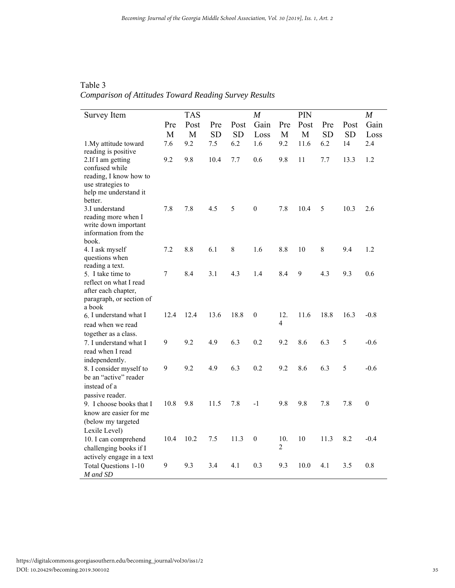| Table 3                                               |  |  |  |
|-------------------------------------------------------|--|--|--|
| Comparison of Attitudes Toward Reading Survey Results |  |  |  |

| Survey Item                                       |                  | <b>TAS</b> |           |           | $\boldsymbol{M}$ |                       | PIN  |           |           | $\boldsymbol{M}$ |
|---------------------------------------------------|------------------|------------|-----------|-----------|------------------|-----------------------|------|-----------|-----------|------------------|
|                                                   | Pre              | Post       | Pre       | Post      | Gain             | Pre                   | Post | Pre       | Post      | Gain             |
|                                                   | M                | M          | <b>SD</b> | <b>SD</b> | Loss             | M                     | M    | <b>SD</b> | <b>SD</b> | Loss             |
| 1. My attitude toward                             | 7.6              | 9.2        | 7.5       | 6.2       | 1.6              | 9.2                   | 11.6 | 6.2       | 14        | 2.4              |
| reading is positive<br>2.If I am getting          | 9.2              | 9.8        | 10.4      | 7.7       | 0.6              | 9.8                   | 11   | 7.7       | 13.3      | 1.2              |
| confused while                                    |                  |            |           |           |                  |                       |      |           |           |                  |
| reading, I know how to                            |                  |            |           |           |                  |                       |      |           |           |                  |
| use strategies to                                 |                  |            |           |           |                  |                       |      |           |           |                  |
| help me understand it                             |                  |            |           |           |                  |                       |      |           |           |                  |
| better.                                           |                  |            |           |           |                  |                       |      |           |           |                  |
| 3.I understand                                    | 7.8              | 7.8        | 4.5       | 5         | $\mathbf{0}$     | 7.8                   | 10.4 | 5         | 10.3      | 2.6              |
| reading more when I                               |                  |            |           |           |                  |                       |      |           |           |                  |
| write down important<br>information from the      |                  |            |           |           |                  |                       |      |           |           |                  |
| book.                                             |                  |            |           |           |                  |                       |      |           |           |                  |
| 4. I ask myself                                   | 7.2              | 8.8        | 6.1       | 8         | 1.6              | 8.8                   | 10   | 8         | 9.4       | 1.2              |
| questions when                                    |                  |            |           |           |                  |                       |      |           |           |                  |
| reading a text.                                   |                  |            |           |           |                  |                       |      |           |           |                  |
| 5. I take time to                                 | $\boldsymbol{7}$ | 8.4        | 3.1       | 4.3       | 1.4              | 8.4                   | 9    | 4.3       | 9.3       | 0.6              |
| reflect on what I read                            |                  |            |           |           |                  |                       |      |           |           |                  |
| after each chapter,                               |                  |            |           |           |                  |                       |      |           |           |                  |
| paragraph, or section of<br>a book                |                  |            |           |           |                  |                       |      |           |           |                  |
| 6. I understand what I                            | 12.4             | 12.4       | 13.6      | 18.8      | $\boldsymbol{0}$ | 12.                   | 11.6 | 18.8      | 16.3      | $-0.8$           |
| read when we read                                 |                  |            |           |           |                  | 4                     |      |           |           |                  |
| together as a class.                              |                  |            |           |           |                  |                       |      |           |           |                  |
| 7. I understand what I                            | 9                | 9.2        | 4.9       | 6.3       | 0.2              | 9.2                   | 8.6  | 6.3       | 5         | $-0.6$           |
| read when I read                                  |                  |            |           |           |                  |                       |      |           |           |                  |
| independently.                                    |                  |            |           |           |                  |                       |      |           |           |                  |
| 8. I consider myself to                           | 9                | 9.2        | 4.9       | 6.3       | 0.2              | 9.2                   | 8.6  | 6.3       | 5         | $-0.6$           |
| be an "active" reader                             |                  |            |           |           |                  |                       |      |           |           |                  |
| instead of a                                      |                  |            |           |           |                  |                       |      |           |           |                  |
| passive reader.                                   |                  |            |           |           |                  |                       |      |           |           |                  |
| 9. I choose books that I                          | 10.8             | 9.8        | 11.5      | 7.8       | $-1$             | 9.8                   | 9.8  | 7.8       | 7.8       | $\theta$         |
| know are easier for me                            |                  |            |           |           |                  |                       |      |           |           |                  |
| (below my targeted                                |                  |            |           |           |                  |                       |      |           |           |                  |
| Lexile Level)                                     |                  |            |           |           |                  |                       |      |           |           |                  |
| 10. I can comprehend                              | 10.4             | 10.2       | 7.5       | 11.3      | $\boldsymbol{0}$ | 10.<br>$\overline{c}$ | 10   | 11.3      | 8.2       | $-0.4$           |
| challenging books if I                            |                  |            |           |           |                  |                       |      |           |           |                  |
| actively engage in a text<br>Total Questions 1-10 | 9                | 9.3        | 3.4       | 4.1       | 0.3              | 9.3                   | 10.0 | 4.1       | 3.5       | 0.8              |
| M and SD                                          |                  |            |           |           |                  |                       |      |           |           |                  |